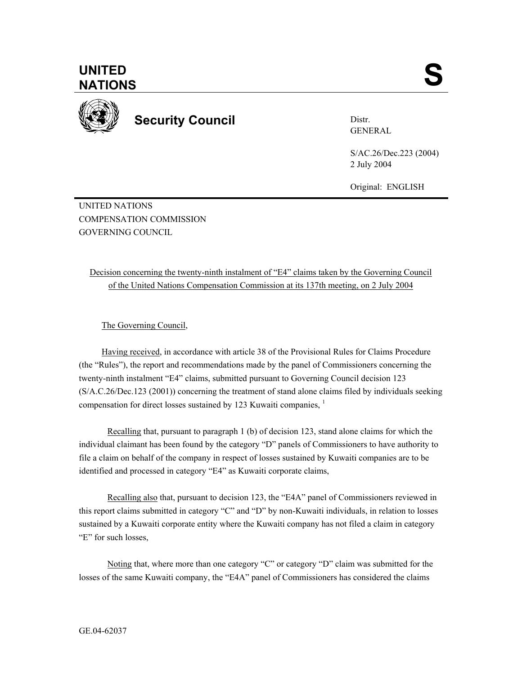

**Security Council** 

Distr. GENERAL

S/AC.26/Dec.223 (2004) 2 July 2004

Original: ENGLISH

UNITED NATIONS COMPENSATION COMMISSION GOVERNING COUNCIL

Decision concerning the twenty-ninth instalment of "E4" claims taken by the Governing Council of the United Nations Compensation Commission at its 137th meeting, on 2 July 2004

The Governing Council,

Having received, in accordance with article 38 of the Provisional Rules for Claims Procedure (the "Rules"), the report and recommendations made by the panel of Commissioners concerning the twenty-ninth instalment "E4" claims, submitted pursuant to Governing Council decision 123 (S/A.C.26/Dec.123 (2001)) concerning the treatment of stand alone claims filed by individuals seeking compensation for direct losses sustained by 123 Kuwaiti companies, <sup>1</sup>

Recalling that, pursuant to paragraph 1 (b) of decision 123, stand alone claims for which the individual claimant has been found by the category "D" panels of Commissioners to have authority to file a claim on behalf of the company in respect of losses sustained by Kuwaiti companies are to be identified and processed in category "E4" as Kuwaiti corporate claims,

Recalling also that, pursuant to decision 123, the "E4A" panel of Commissioners reviewed in this report claims submitted in category "C" and "D" by non-Kuwaiti individuals, in relation to losses sustained by a Kuwaiti corporate entity where the Kuwaiti company has not filed a claim in category "E" for such losses,

Noting that, where more than one category "C" or category "D" claim was submitted for the losses of the same Kuwaiti company, the "E4A" panel of Commissioners has considered the claims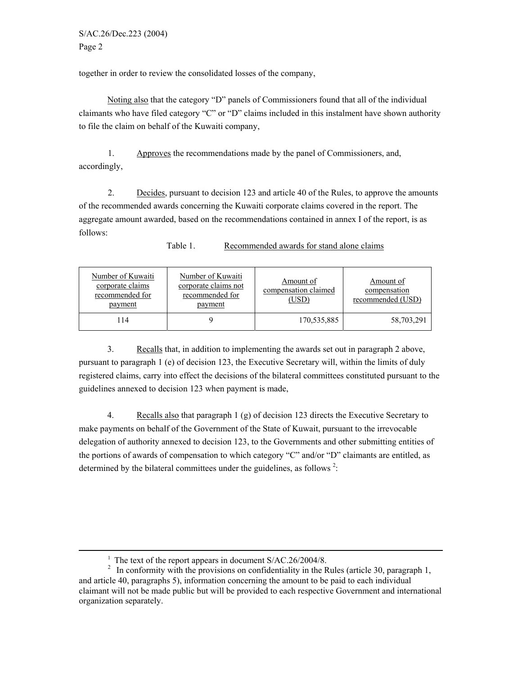together in order to review the consolidated losses of the company,

Noting also that the category "D" panels of Commissioners found that all of the individual claimants who have filed category "C" or "D" claims included in this instalment have shown authority to file the claim on behalf of the Kuwaiti company,

1. Approves the recommendations made by the panel of Commissioners, and, accordingly,

2. Decides, pursuant to decision 123 and article 40 of the Rules, to approve the amounts of the recommended awards concerning the Kuwaiti corporate claims covered in the report. The aggregate amount awarded, based on the recommendations contained in annex I of the report, is as follows:

| Number of Kuwaiti<br>corporate claims<br>recommended for<br>payment | Number of Kuwaiti<br>corporate claims not<br>recommended for<br>payment | Amount of<br>compensation claimed<br><u>(USD)</u> | Amount of<br>compensation<br>recommended (USD) |
|---------------------------------------------------------------------|-------------------------------------------------------------------------|---------------------------------------------------|------------------------------------------------|
| 114                                                                 |                                                                         | 170,535,885                                       | 58,703,291                                     |

Table 1. Recommended awards for stand alone claims

3. Recalls that, in addition to implementing the awards set out in paragraph 2 above, pursuant to paragraph 1 (e) of decision 123, the Executive Secretary will, within the limits of duly registered claims, carry into effect the decisions of the bilateral committees constituted pursuant to the guidelines annexed to decision 123 when payment is made,

4. Recalls also that paragraph 1 (g) of decision 123 directs the Executive Secretary to make payments on behalf of the Government of the State of Kuwait, pursuant to the irrevocable delegation of authority annexed to decision 123, to the Governments and other submitting entities of the portions of awards of compensation to which category "C" and/or "D" claimants are entitled, as determined by the bilateral committees under the guidelines, as follows<sup>2</sup>:

 $\frac{1}{1}$ 

<sup>&</sup>lt;sup>1</sup> The text of the report appears in document S/AC.26/2004/8.<br><sup>2</sup> In conformity with the provisions on confidentiality in the Rules (article 30, paragraph 1, and article 40, paragraphs 5), information concerning the amount to be paid to each individual claimant will not be made public but will be provided to each respective Government and international organization separately.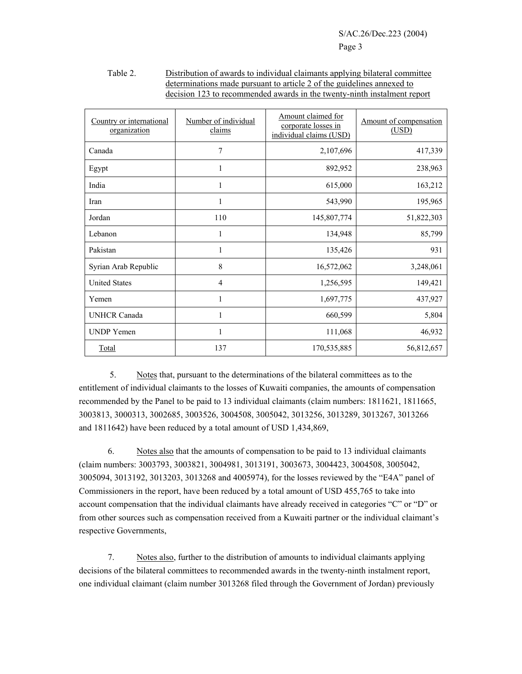| Table 2. | Distribution of awards to individual claimants applying bilateral committee |
|----------|-----------------------------------------------------------------------------|
|          | determinations made pursuant to article 2 of the guidelines annexed to      |
|          | decision 123 to recommended awards in the twenty-ninth instalment report    |

| Country or international<br>organization | Number of individual<br>claims | Amount claimed for<br>corporate losses in<br>individual claims (USD) | Amount of compensation<br>(USD) |  |
|------------------------------------------|--------------------------------|----------------------------------------------------------------------|---------------------------------|--|
| Canada                                   | 7                              | 2,107,696                                                            | 417,339                         |  |
| Egypt                                    | 1                              | 892,952                                                              | 238,963                         |  |
| India                                    |                                | 615,000                                                              | 163,212                         |  |
| Iran                                     | 1                              | 543,990                                                              | 195,965                         |  |
| Jordan                                   | 110                            | 145,807,774                                                          | 51,822,303                      |  |
| Lebanon                                  | 1                              | 134,948                                                              | 85,799                          |  |
| Pakistan                                 | 1                              | 135,426                                                              | 931                             |  |
| Syrian Arab Republic                     | 8                              | 16,572,062                                                           | 3,248,061                       |  |
| <b>United States</b>                     | 4                              | 1,256,595                                                            | 149,421                         |  |
| Yemen                                    | 1                              | 1,697,775                                                            | 437,927                         |  |
| <b>UNHCR Canada</b>                      | 1                              | 660,599                                                              | 5,804                           |  |
| <b>UNDP</b> Yemen                        | 1                              | 111,068                                                              | 46,932                          |  |
| Total                                    | 137                            | 170,535,885                                                          | 56,812,657                      |  |

5. Notes that, pursuant to the determinations of the bilateral committees as to the entitlement of individual claimants to the losses of Kuwaiti companies, the amounts of compensation recommended by the Panel to be paid to 13 individual claimants (claim numbers: 1811621, 1811665, 3003813, 3000313, 3002685, 3003526, 3004508, 3005042, 3013256, 3013289, 3013267, 3013266 and 1811642) have been reduced by a total amount of USD 1,434,869,

 6. Notes also that the amounts of compensation to be paid to 13 individual claimants (claim numbers: 3003793, 3003821, 3004981, 3013191, 3003673, 3004423, 3004508, 3005042, 3005094, 3013192, 3013203, 3013268 and 4005974), for the losses reviewed by the "E4A" panel of Commissioners in the report, have been reduced by a total amount of USD 455,765 to take into account compensation that the individual claimants have already received in categories "C" or "D" or from other sources such as compensation received from a Kuwaiti partner or the individual claimant's respective Governments,

7. Notes also, further to the distribution of amounts to individual claimants applying decisions of the bilateral committees to recommended awards in the twenty-ninth instalment report, one individual claimant (claim number 3013268 filed through the Government of Jordan) previously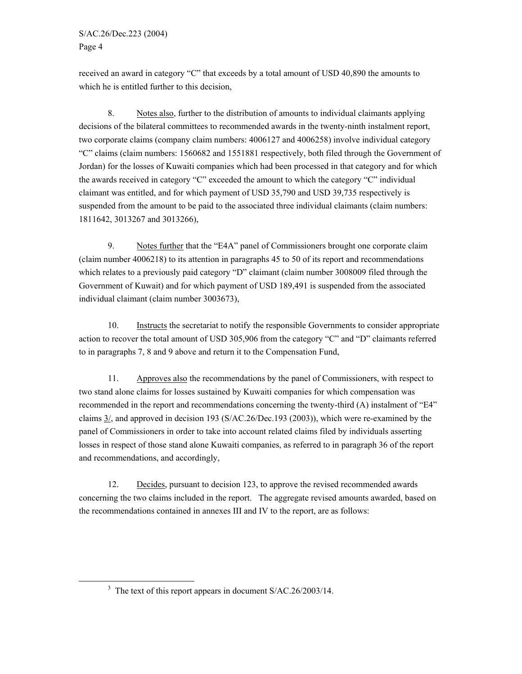received an award in category "C" that exceeds by a total amount of USD 40,890 the amounts to which he is entitled further to this decision,

8. Notes also, further to the distribution of amounts to individual claimants applying decisions of the bilateral committees to recommended awards in the twenty-ninth instalment report, two corporate claims (company claim numbers: 4006127 and 4006258) involve individual category "C" claims (claim numbers: 1560682 and 1551881 respectively, both filed through the Government of Jordan) for the losses of Kuwaiti companies which had been processed in that category and for which the awards received in category "C" exceeded the amount to which the category "C" individual claimant was entitled, and for which payment of USD 35,790 and USD 39,735 respectively is suspended from the amount to be paid to the associated three individual claimants (claim numbers: 1811642, 3013267 and 3013266),

9. Notes further that the "E4A" panel of Commissioners brought one corporate claim (claim number 4006218) to its attention in paragraphs 45 to 50 of its report and recommendations which relates to a previously paid category "D" claimant (claim number 3008009 filed through the Government of Kuwait) and for which payment of USD 189,491 is suspended from the associated individual claimant (claim number 3003673),

10. Instructs the secretariat to notify the responsible Governments to consider appropriate action to recover the total amount of USD 305,906 from the category "C" and "D" claimants referred to in paragraphs 7, 8 and 9 above and return it to the Compensation Fund,

11. Approves also the recommendations by the panel of Commissioners, with respect to two stand alone claims for losses sustained by Kuwaiti companies for which compensation was recommended in the report and recommendations concerning the twenty-third (A) instalment of "E4" claims 3/, and approved in decision 193 (S/AC.26/Dec.193 (2003)), which were re-examined by the panel of Commissioners in order to take into account related claims filed by individuals asserting losses in respect of those stand alone Kuwaiti companies, as referred to in paragraph 36 of the report and recommendations, and accordingly,

12. Decides, pursuant to decision 123, to approve the revised recommended awards concerning the two claims included in the report. The aggregate revised amounts awarded, based on the recommendations contained in annexes III and IV to the report, are as follows:

 $\frac{1}{3}$  $3$  The text of this report appears in document S/AC.26/2003/14.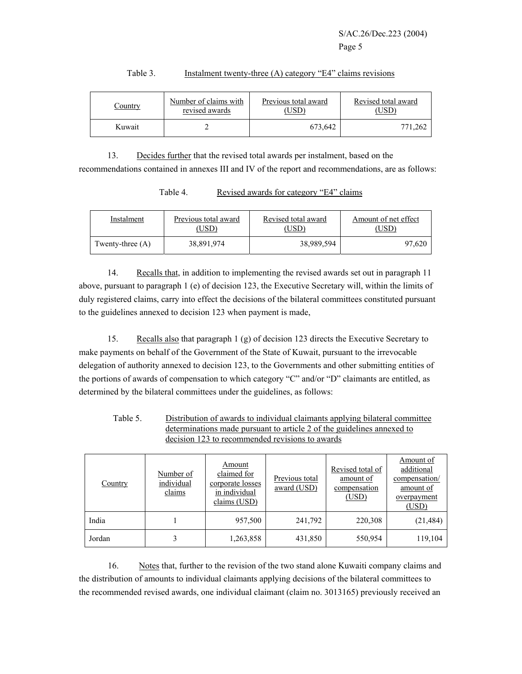| Country | Number of claims with | Previous total award | Revised total award |  |
|---------|-----------------------|----------------------|---------------------|--|
|         | revised awards        | $\overline{USD}$     | USD'                |  |
| Kuwait  |                       | 673,642              | 771,262             |  |

## Table 3. Instalment twenty-three (A) category "E4" claims revisions

13. Decides further that the revised total awards per instalment, based on the recommendations contained in annexes III and IV of the report and recommendations, are as follows:

Table 4. Revised awards for category "E4" claims

| Instalment         | Previous total award | Revised total award | Amount of net effect |  |
|--------------------|----------------------|---------------------|----------------------|--|
|                    | USD)                 | USD                 | USD'                 |  |
| Twenty-three $(A)$ | 38,891,974           | 38,989,594          | 97,620               |  |

14. Recalls that, in addition to implementing the revised awards set out in paragraph 11 above, pursuant to paragraph 1 (e) of decision 123, the Executive Secretary will, within the limits of duly registered claims, carry into effect the decisions of the bilateral committees constituted pursuant to the guidelines annexed to decision 123 when payment is made,

15. Recalls also that paragraph 1 (g) of decision 123 directs the Executive Secretary to make payments on behalf of the Government of the State of Kuwait, pursuant to the irrevocable delegation of authority annexed to decision 123, to the Governments and other submitting entities of the portions of awards of compensation to which category "C" and/or "D" claimants are entitled, as determined by the bilateral committees under the guidelines, as follows:

| Table 5. | Distribution of awards to individual claimants applying bilateral committee |
|----------|-----------------------------------------------------------------------------|
|          | determinations made pursuant to article 2 of the guidelines annexed to      |
|          | decision 123 to recommended revisions to awards                             |

| <b>Country</b> | Number of<br>individual<br>claims | Amount<br>claimed for<br>corporate losses<br>in individual<br>claims (USD) | Previous total<br>award (USD) | Revised total of<br>amount of<br>compensation<br>(USD) | Amount of<br>additional<br>compensation/<br>amount of<br>overpayment<br>(USD) |
|----------------|-----------------------------------|----------------------------------------------------------------------------|-------------------------------|--------------------------------------------------------|-------------------------------------------------------------------------------|
| India          |                                   | 957,500                                                                    | 241,792                       | 220,308                                                | (21, 484)                                                                     |
| Jordan         |                                   | 1,263,858                                                                  | 431,850                       | 550,954                                                | 119,104                                                                       |

16. Notes that, further to the revision of the two stand alone Kuwaiti company claims and the distribution of amounts to individual claimants applying decisions of the bilateral committees to the recommended revised awards, one individual claimant (claim no. 3013165) previously received an